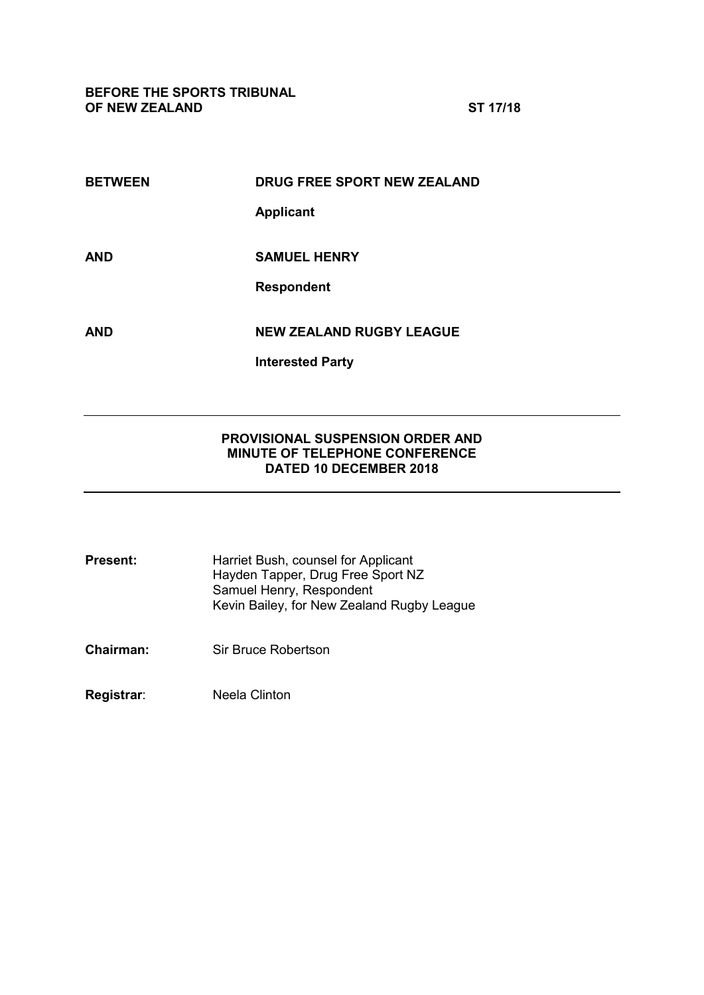**BEFORE THE SPORTS TRIBUNAL OF NEW ZEALAND ST 17/18**

| <b>BETWEEN</b> | DRUG FREE SPORT NEW ZEALAND     |
|----------------|---------------------------------|
|                | <b>Applicant</b>                |
| AND            | <b>SAMUEL HENRY</b>             |
|                | <b>Respondent</b>               |
|                |                                 |
| AND            | <b>NEW ZEALAND RUGBY LEAGUE</b> |
|                | <b>Interested Party</b>         |

## **PROVISIONAL SUSPENSION ORDER AND MINUTE OF TELEPHONE CONFERENCE DATED 10 DECEMBER 2018**

| <b>Present:</b> | Harriet Bush, counsel for Applicant        |
|-----------------|--------------------------------------------|
|                 | Hayden Tapper, Drug Free Sport NZ          |
|                 | Samuel Henry, Respondent                   |
|                 | Kevin Bailey, for New Zealand Rugby League |
|                 |                                            |

**Chairman:** Sir Bruce Robertson

**Registrar**: Neela Clinton